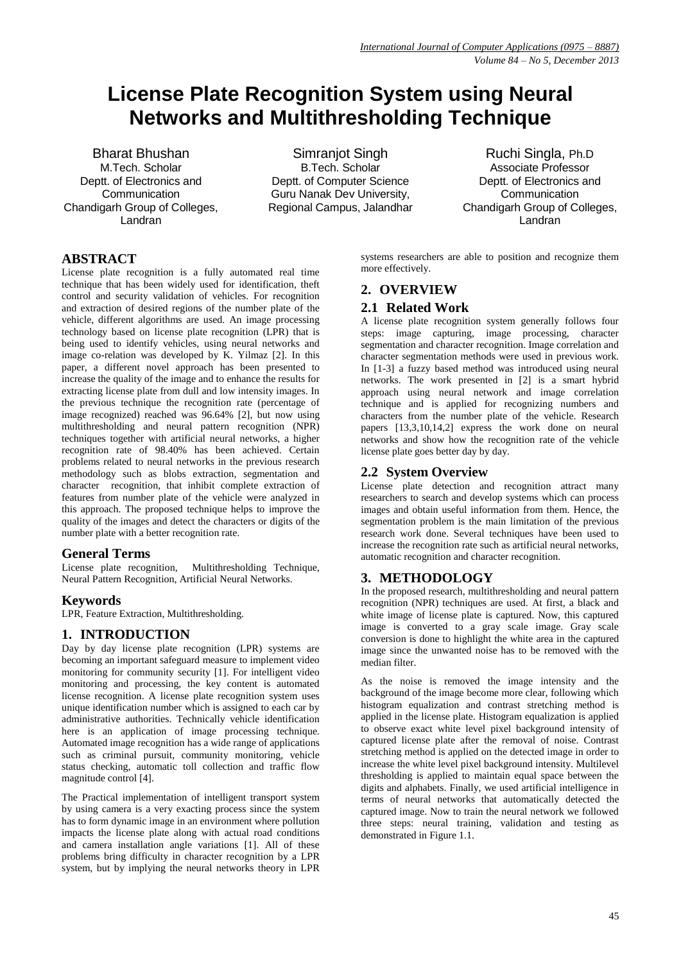# **License Plate Recognition System using Neural Networks and Multithresholding Technique**

Bharat Bhushan M.Tech. Scholar Deptt. of Electronics and **Communication** Chandigarh Group of Colleges, Landran

Simranjot Singh B.Tech. Scholar Deptt. of Computer Science Guru Nanak Dev University, Regional Campus, Jalandhar

Ruchi Singla, Ph.D Associate Professor Deptt. of Electronics and **Communication** Chandigarh Group of Colleges, Landran

## **ABSTRACT**

License plate recognition is a fully automated real time technique that has been widely used for identification, theft control and security validation of vehicles. For recognition and extraction of desired regions of the number plate of the vehicle, different algorithms are used. An image processing technology based on license plate recognition (LPR) that is being used to identify vehicles, using neural networks and image co-relation was developed by K. Yilmaz [2]. In this paper, a different novel approach has been presented to increase the quality of the image and to enhance the results for extracting license plate from dull and low intensity images. In the previous technique the recognition rate (percentage of image recognized) reached was 96.64% [2], but now using multithresholding and neural pattern recognition (NPR) techniques together with artificial neural networks, a higher recognition rate of 98.40% has been achieved. Certain problems related to neural networks in the previous research methodology such as blobs extraction, segmentation and character recognition, that inhibit complete extraction of features from number plate of the vehicle were analyzed in this approach. The proposed technique helps to improve the quality of the images and detect the characters or digits of the number plate with a better recognition rate.

## **General Terms**

License plate recognition, Multithresholding Technique, Neural Pattern Recognition, Artificial Neural Networks.

## **Keywords**

LPR, Feature Extraction, Multithresholding.

## **1. INTRODUCTION**

Day by day license plate recognition (LPR) systems are becoming an important safeguard measure to implement video monitoring for community security [1]. For intelligent video monitoring and processing, the key content is automated license recognition. A license plate recognition system uses unique identification number which is assigned to each car by administrative authorities. Technically vehicle identification here is an application of image processing technique. Automated image recognition has a wide range of applications such as criminal pursuit, community monitoring, vehicle status checking, automatic toll collection and traffic flow magnitude control [4].

The Practical implementation of intelligent transport system by using camera is a very exacting process since the system has to form dynamic image in an environment where pollution impacts the license plate along with actual road conditions and camera installation angle variations [1]. All of these problems bring difficulty in character recognition by a LPR system, but by implying the neural networks theory in LPR

systems researchers are able to position and recognize them more effectively.

## **2. OVERVIEW**

#### **2.1 Related Work**

A license plate recognition system generally follows four steps: image capturing, image processing, character segmentation and character recognition. Image correlation and character segmentation methods were used in previous work. In [1-3] a fuzzy based method was introduced using neural networks. The work presented in [2] is a smart hybrid approach using neural network and image correlation technique and is applied for recognizing numbers and characters from the number plate of the vehicle. Research papers [13,3,10,14,2] express the work done on neural networks and show how the recognition rate of the vehicle license plate goes better day by day.

## **2.2 System Overview**

License plate detection and recognition attract many researchers to search and develop systems which can process images and obtain useful information from them. Hence, the segmentation problem is the main limitation of the previous research work done. Several techniques have been used to increase the recognition rate such as artificial neural networks, automatic recognition and character recognition.

## **3. METHODOLOGY**

In the proposed research, multithresholding and neural pattern recognition (NPR) techniques are used. At first, a black and white image of license plate is captured. Now, this captured image is converted to a gray scale image. Gray scale conversion is done to highlight the white area in the captured image since the unwanted noise has to be removed with the median filter.

As the noise is removed the image intensity and the background of the image become more clear, following which histogram equalization and contrast stretching method is applied in the license plate. Histogram equalization is applied to observe exact white level pixel background intensity of captured license plate after the removal of noise. Contrast stretching method is applied on the detected image in order to increase the white level pixel background intensity. Multilevel thresholding is applied to maintain equal space between the digits and alphabets. Finally, we used artificial intelligence in terms of neural networks that automatically detected the captured image. Now to train the neural network we followed three steps: neural training, validation and testing as demonstrated in Figure 1.1.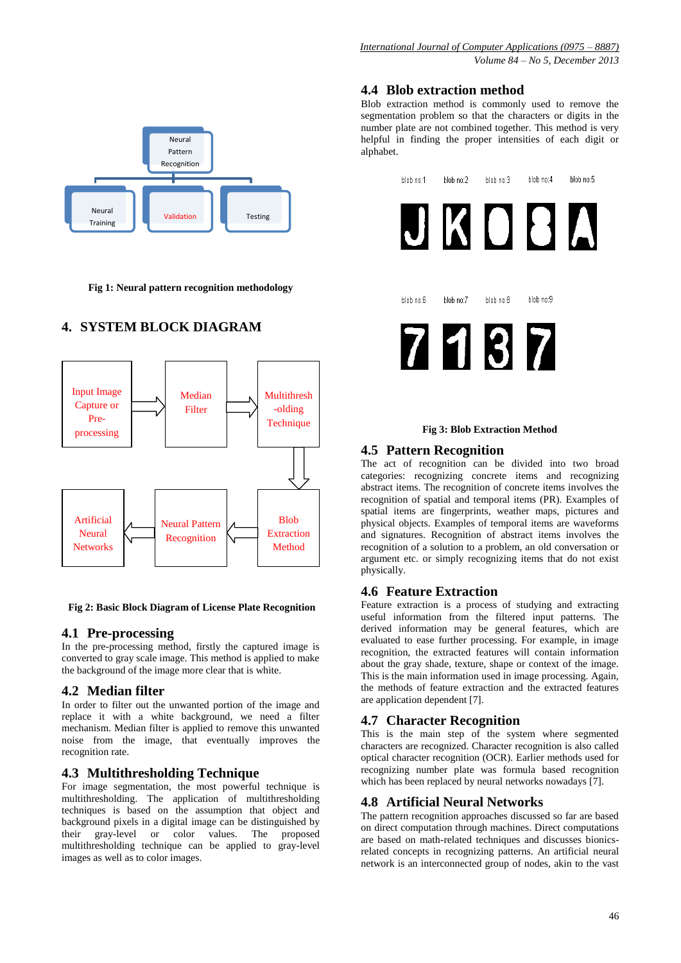

**Fig 1: Neural pattern recognition methodology**

# **4. SYSTEM BLOCK DIAGRAM**



**Fig 2: Basic Block Diagram of License Plate Recognition**

## **4.1 Pre-processing**

In the pre-processing method, firstly the captured image is converted to gray scale image. This method is applied to make the background of the image more clear that is white.

## **4.2 Median filter**

In order to filter out the unwanted portion of the image and replace it with a white background, we need a filter mechanism. Median filter is applied to remove this unwanted noise from the image, that eventually improves the recognition rate.

## **4.3 Multithresholding Technique**

For image segmentation, the most powerful technique is multithresholding. The application of multithresholding techniques is based on the assumption that object and background pixels in a digital image can be distinguished by their gray-level or color values. The proposed multithresholding technique can be applied to gray-level images as well as to color images.

## **4.4 Blob extraction method**

Blob extraction method is commonly used to remove the segmentation problem so that the characters or digits in the number plate are not combined together. This method is very helpful in finding the proper intensities of each digit or alphabet.

| blob no:1 | blob no:2 | blob no:3 | blob no:4 | blob no:5 |
|-----------|-----------|-----------|-----------|-----------|
|           |           |           |           |           |
| blob no:6 | blob no:7 | blob no:8 | blob no:9 |           |
| ľ,        |           |           |           |           |

#### **Fig 3: Blob Extraction Method**

## **4.5 Pattern Recognition**

The act of recognition can be divided into two broad categories: recognizing concrete items and recognizing abstract items. The recognition of concrete items involves the recognition of spatial and temporal items (PR). Examples of spatial items are fingerprints, weather maps, pictures and physical objects. Examples of temporal items are waveforms and signatures. Recognition of abstract items involves the recognition of a solution to a problem, an old conversation or argument etc. or simply recognizing items that do not exist physically.

## **4.6 Feature Extraction**

Feature extraction is a process of studying and extracting useful information from the filtered input patterns. The derived information may be general features, which are evaluated to ease further processing. For example, in image recognition, the extracted features will contain information about the gray shade, texture, shape or context of the image. This is the main information used in image processing. Again, the methods of feature extraction and the extracted features are application dependent [7].

#### **4.7 Character Recognition**

This is the main step of the system where segmented characters are recognized. Character recognition is also called optical character recognition (OCR). Earlier methods used for recognizing number plate was formula based recognition which has been replaced by neural networks nowadays [7].

## **4.8 Artificial Neural Networks**

The pattern recognition approaches discussed so far are based on direct computation through machines. Direct computations are based on math-related techniques and discusses bionicsrelated concepts in recognizing patterns. An artificial neural network is an interconnected group of nodes, akin to the vast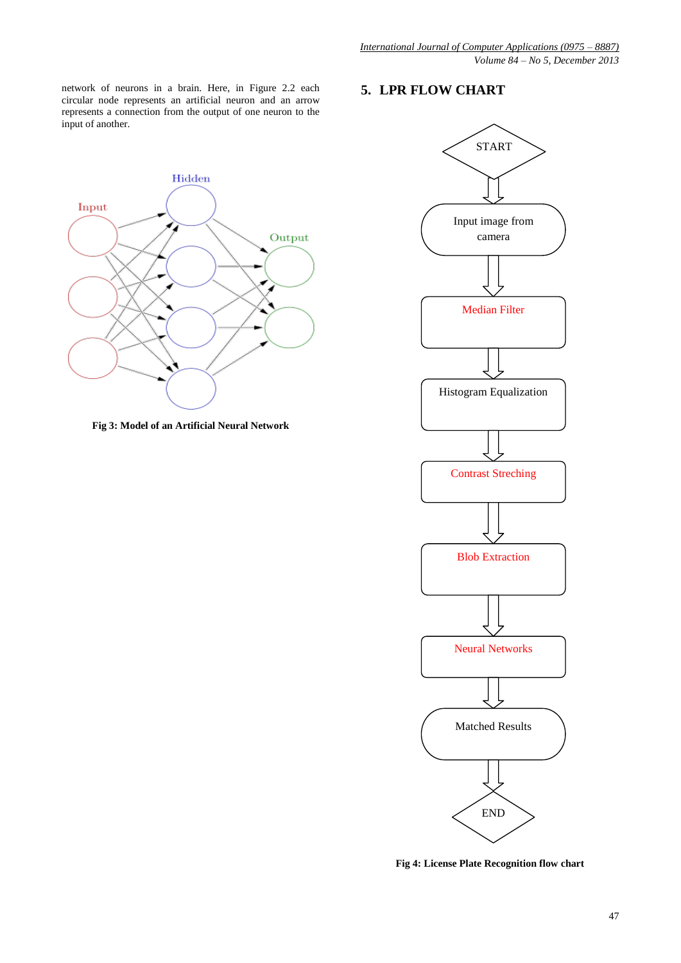**5. LPR FLOW CHART**

network of neurons in a brain. Here, in Figure 2.2 each circular node represents an artificial neuron and an arrow represents a connection from the output of one neuron to the input of another.



**Fig 3: Model of an Artificial Neural Network**



**Fig 4: License Plate Recognition flow chart**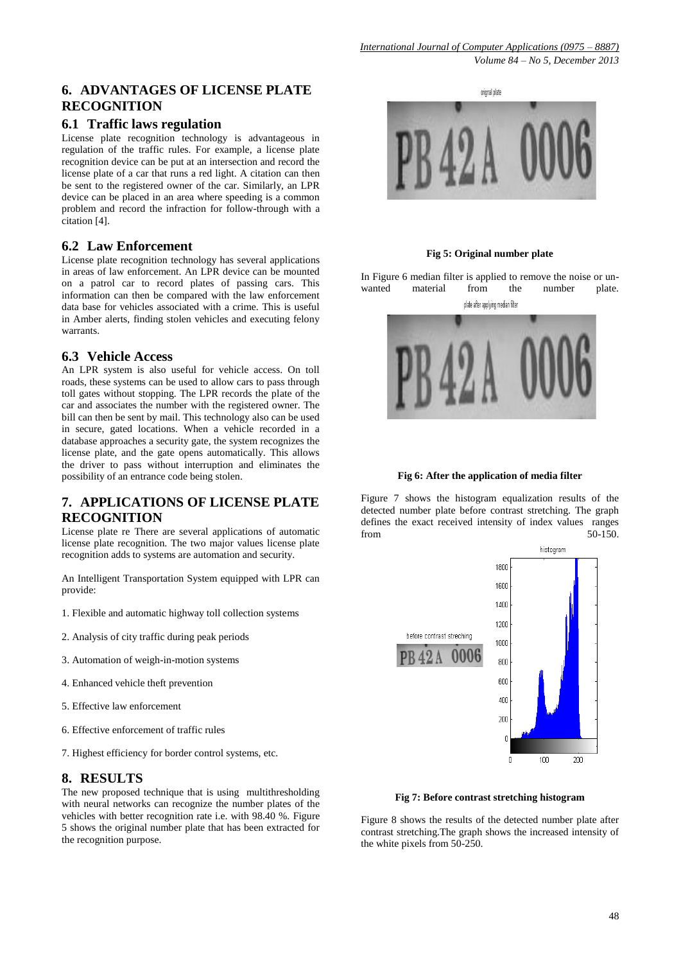## **6. ADVANTAGES OF LICENSE PLATE RECOGNITION**

## **6.1 Traffic laws regulation**

License plate recognition technology is advantageous in regulation of the traffic rules. For example, a license plate recognition device can be put at an intersection and record the license plate of a car that runs a red light. A citation can then be sent to the registered owner of the car. Similarly, an LPR device can be placed in an area where speeding is a common problem and record the infraction for follow-through with a citation [4].

## **6.2 Law Enforcement**

License plate recognition technology has several applications in areas of law enforcement. An LPR device can be mounted on a patrol car to record plates of passing cars. This information can then be compared with the law enforcement data base for vehicles associated with a crime. This is useful in Amber alerts, finding stolen vehicles and executing felony warrants.

## **6.3 Vehicle Access**

An LPR system is also useful for vehicle access. On toll roads, these systems can be used to allow cars to pass through toll gates without stopping. The LPR records the plate of the car and associates the number with the registered owner. The bill can then be sent by mail. This technology also can be used in secure, gated locations. When a vehicle recorded in a database approaches a security gate, the system recognizes the license plate, and the gate opens automatically. This allows the driver to pass without interruption and eliminates the possibility of an entrance code being stolen.

## **7. APPLICATIONS OF LICENSE PLATE RECOGNITION**

License plate re There are several applications of automatic license plate recognition. The two major values license plate recognition adds to systems are automation and security.

An Intelligent Transportation System equipped with LPR can provide:

- 1. Flexible and automatic highway toll collection systems
- 2. Analysis of city traffic during peak periods
- 3. Automation of weigh-in-motion systems
- 4. Enhanced vehicle theft prevention
- 5. Effective law enforcement
- 6. Effective enforcement of traffic rules
- 7. Highest efficiency for border control systems, etc.

## **8. RESULTS**

The new proposed technique that is using multithresholding with neural networks can recognize the number plates of the vehicles with better recognition rate i.e. with 98.40 %. Figure 5 shows the original number plate that has been extracted for the recognition purpose.



**Fig 5: Original number plate**

In Figure 6 median filter is applied to remove the noise or unwanted material from the number plate.



#### **Fig 6: After the application of media filter**

Figure 7 shows the histogram equalization results of the detected number plate before contrast stretching. The graph defines the exact received intensity of index values ranges from 50-150.



#### **Fig 7: Before contrast stretching histogram**

Figure 8 shows the results of the detected number plate after contrast stretching.The graph shows the increased intensity of the white pixels from 50-250.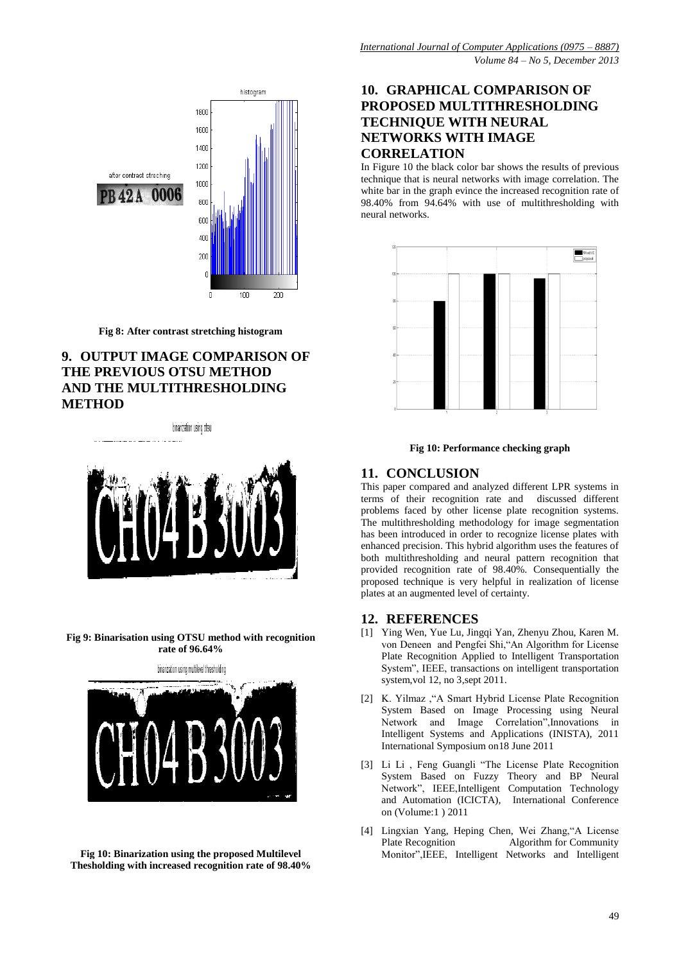

**Fig 8: After contrast stretching histogram**

## **9. OUTPUT IMAGE COMPARISON OF THE PREVIOUS OTSU METHOD AND THE MULTITHRESHOLDING METHOD**

binarization using otsu



**Fig 9: Binarisation using OTSU method with recognition rate of 96.64%**



**Fig 10: Binarization using the proposed Multilevel Thesholding with increased recognition rate of 98.40%**

# **10. GRAPHICAL COMPARISON OF PROPOSED MULTITHRESHOLDING TECHNIQUE WITH NEURAL NETWORKS WITH IMAGE CORRELATION**

In Figure 10 the black color bar shows the results of previous technique that is neural networks with image correlation. The white bar in the graph evince the increased recognition rate of 98.40% from 94.64% with use of multithresholding with neural networks.



#### **Fig 10: Performance checking graph**

#### **11. CONCLUSION**

This paper compared and analyzed different LPR systems in terms of their recognition rate and discussed different problems faced by other license plate recognition systems. The multithresholding methodology for image segmentation has been introduced in order to recognize license plates with enhanced precision. This hybrid algorithm uses the features of both multithresholding and neural pattern recognition that provided recognition rate of 98.40%. Consequentially the proposed technique is very helpful in realization of license plates at an augmented level of certainty.

#### **12. REFERENCES**

- [1] Ying Wen, Yue Lu, Jingqi Yan, Zhenyu Zhou, Karen M. von Deneen and Pengfei Shi,"An Algorithm for License Plate Recognition Applied to Intelligent Transportation System", IEEE, transactions on intelligent transportation system,vol 12, no 3,sept 2011.
- [2] K. Yilmaz ,"A Smart Hybrid License Plate Recognition System Based on Image Processing using Neural Network and Image Correlation"[,Innovations in](http://ieeexplore.ieee.org/xpl/mostRecentIssue.jsp?punumber=5935581)  [Intelligent Systems and Applications \(INISTA\), 2011](http://ieeexplore.ieee.org/xpl/mostRecentIssue.jsp?punumber=5935581)  [International Symposium on1](http://ieeexplore.ieee.org/xpl/mostRecentIssue.jsp?punumber=5935581)8 June 2011
- [3] Li Li , Feng Guangli "The License Plate Recognition System Based on Fuzzy Theory and BP Neural Network", IEEE,Intelligent Computation Technology [and Automation \(ICICTA\), International Conference](http://ieeexplore.ieee.org/xpl/mostRecentIssue.jsp?punumber=5750113)  [on](http://ieeexplore.ieee.org/xpl/mostRecentIssue.jsp?punumber=5750113) (Volume:1 ) 2011
- [4] Lingxian Yang, Heping Chen, Wei Zhang,"A License Plate Recognition Algorithm for Community Monitor",IEEE, [Intelligent Networks and Intelligent](http://ieeexplore.ieee.org/xpl/mostRecentIssue.jsp?punumber=6376343)